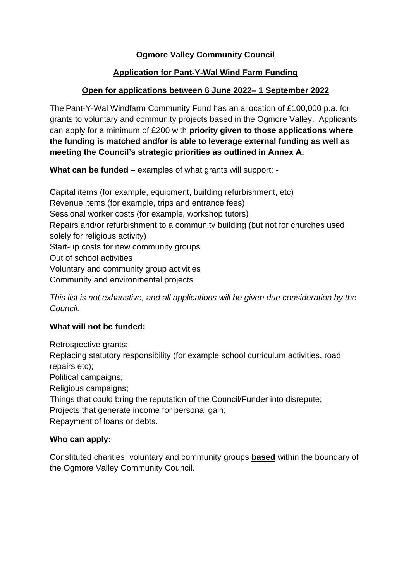# **Ogmore Valley Community Council**

## **Application for Pant-Y-Wal Wind Farm Funding**

## **Open for applications between 6 June 2022– 1 September 2022**

The Pant-Y-Wal Windfarm Community Fund has an allocation of £100,000 p.a. for grants to voluntary and community projects based in the Ogmore Valley. Applicants can apply for a minimum of £200 with **priority given to those applications where the funding is matched and/or is able to leverage external funding as well as meeting the Council's strategic priorities as outlined in Annex A.**

**What can be funded –** examples of what grants will support: -

Capital items (for example, equipment, building refurbishment, etc) Revenue items (for example, trips and entrance fees) Sessional worker costs (for example, workshop tutors) Repairs and/or refurbishment to a community building (but not for churches used solely for religious activity) Start-up costs for new community groups Out of school activities Voluntary and community group activities Community and environmental projects

*This list is not exhaustive, and all applications will be given due consideration by the Council.*

### **What will not be funded:**

Retrospective grants;

Replacing statutory responsibility (for example school curriculum activities, road repairs etc);

Political campaigns;

Religious campaigns;

Things that could bring the reputation of the Council/Funder into disrepute;

Projects that generate income for personal gain;

Repayment of loans or debts.

### **Who can apply:**

Constituted charities, voluntary and community groups **based** within the boundary of the Ogmore Valley Community Council.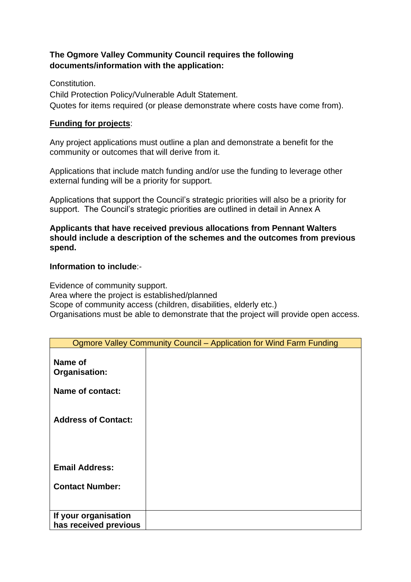## **The Ogmore Valley Community Council requires the following documents/information with the application:**

Constitution. Child Protection Policy/Vulnerable Adult Statement. Quotes for items required (or please demonstrate where costs have come from).

#### **Funding for projects**:

Any project applications must outline a plan and demonstrate a benefit for the community or outcomes that will derive from it.

Applications that include match funding and/or use the funding to leverage other external funding will be a priority for support.

Applications that support the Council's strategic priorities will also be a priority for support. The Council's strategic priorities are outlined in detail in Annex A

**Applicants that have received previous allocations from Pennant Walters should include a description of the schemes and the outcomes from previous spend.** 

#### **Information to include**:-

Evidence of community support. Area where the project is established/planned Scope of community access (children, disabilities, elderly etc.) Organisations must be able to demonstrate that the project will provide open access.

| Ogmore Valley Community Council – Application for Wind Farm Funding |  |  |  |  |
|---------------------------------------------------------------------|--|--|--|--|
| Name of<br>Organisation:                                            |  |  |  |  |
| Name of contact:                                                    |  |  |  |  |
| <b>Address of Contact:</b>                                          |  |  |  |  |
|                                                                     |  |  |  |  |
| <b>Email Address:</b>                                               |  |  |  |  |
| <b>Contact Number:</b>                                              |  |  |  |  |
| If your organisation<br>has received previous                       |  |  |  |  |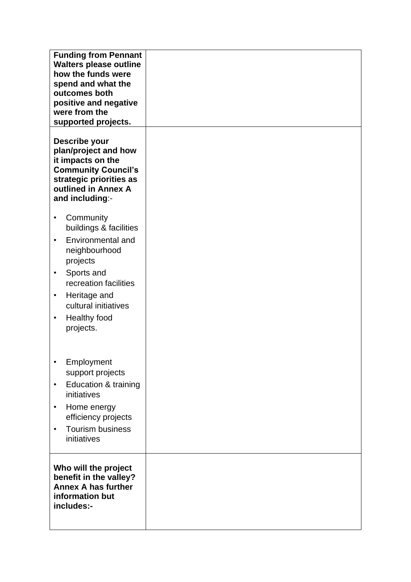| <b>Funding from Pennant</b><br><b>Walters please outline</b><br>how the funds were<br>spend and what the<br>outcomes both<br>positive and negative<br>were from the<br>supported projects.<br>Describe your<br>plan/project and how<br>it impacts on the<br><b>Community Council's</b><br>strategic priorities as |  |
|-------------------------------------------------------------------------------------------------------------------------------------------------------------------------------------------------------------------------------------------------------------------------------------------------------------------|--|
| outlined in Annex A<br>and including:-                                                                                                                                                                                                                                                                            |  |
| Community<br>$\bullet$<br>buildings & facilities<br>Environmental and<br>$\bullet$<br>neighbourhood<br>projects<br>Sports and<br>$\bullet$<br>recreation facilities<br>Heritage and<br>$\bullet$<br>cultural initiatives<br>Healthy food<br>$\bullet$<br>projects.                                                |  |
| Employment<br>$\bullet$<br>support projects<br>Education & training<br>$\bullet$<br>initiatives<br>Home energy<br>$\bullet$<br>efficiency projects<br><b>Tourism business</b><br>$\bullet$<br>initiatives                                                                                                         |  |
| Who will the project<br>benefit in the valley?<br><b>Annex A has further</b><br>information but<br>includes:-                                                                                                                                                                                                     |  |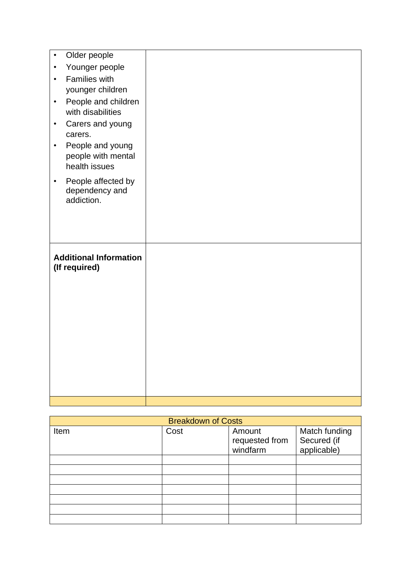| Older people<br>$\bullet$        |  |
|----------------------------------|--|
| Younger people<br>$\bullet$      |  |
| Families with<br>$\bullet$       |  |
| younger children                 |  |
| People and children<br>$\bullet$ |  |
| with disabilities                |  |
| Carers and young<br>$\bullet$    |  |
| carers.                          |  |
| People and young<br>$\bullet$    |  |
| people with mental               |  |
| health issues                    |  |
| People affected by<br>$\bullet$  |  |
| dependency and<br>addiction.     |  |
|                                  |  |
|                                  |  |
|                                  |  |
|                                  |  |
|                                  |  |
| <b>Additional Information</b>    |  |
| (If required)                    |  |
|                                  |  |
|                                  |  |
|                                  |  |
|                                  |  |
|                                  |  |
|                                  |  |
|                                  |  |
|                                  |  |
|                                  |  |
|                                  |  |

| <b>Breakdown of Costs</b> |      |                                      |                                             |  |  |  |
|---------------------------|------|--------------------------------------|---------------------------------------------|--|--|--|
| Item                      | Cost | Amount<br>requested from<br>windfarm | Match funding<br>Secured (if<br>applicable) |  |  |  |
|                           |      |                                      |                                             |  |  |  |
|                           |      |                                      |                                             |  |  |  |
|                           |      |                                      |                                             |  |  |  |
|                           |      |                                      |                                             |  |  |  |
|                           |      |                                      |                                             |  |  |  |
|                           |      |                                      |                                             |  |  |  |
|                           |      |                                      |                                             |  |  |  |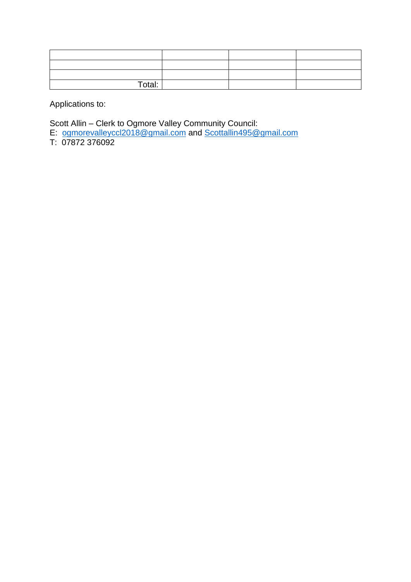| Total: |  |  |
|--------|--|--|

Applications to:

Scott Allin – Clerk to Ogmore Valley Community Council:

E: [ogmorevalleyccl2018@gmail.com](mailto:ogmorevalleyccl2018@gmail.com) and [Scottallin495@gmail.com](mailto:Scottallin495@gmail.com)

T: 07872 376092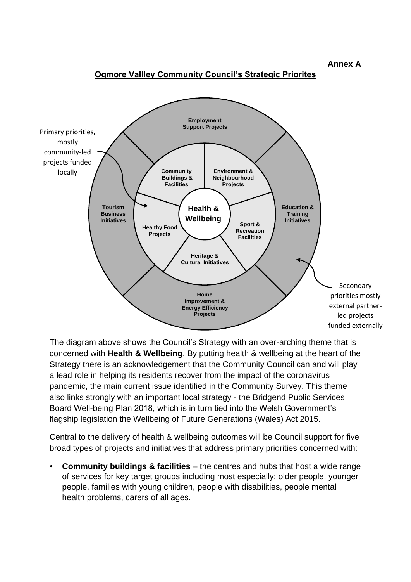**Annex A**

#### **Ogmore Vallley Community Council's Strategic Priorites**



The diagram above shows the Council's Strategy with an over-arching theme that is concerned with **Health & Wellbeing**. By putting health & wellbeing at the heart of the Strategy there is an acknowledgement that the Community Council can and will play a lead role in helping its residents recover from the impact of the coronavirus pandemic, the main current issue identified in the Community Survey. This theme also links strongly with an important local strategy - the Bridgend Public Services Board Well-being Plan 2018, which is in turn tied into the Welsh Government's flagship legislation the Wellbeing of Future Generations (Wales) Act 2015.

Central to the delivery of health & wellbeing outcomes will be Council support for five broad types of projects and initiatives that address primary priorities concerned with:

• **Community buildings & facilities** – the centres and hubs that host a wide range of services for key target groups including most especially: older people, younger people, families with young children, people with disabilities, people mental health problems, carers of all ages.